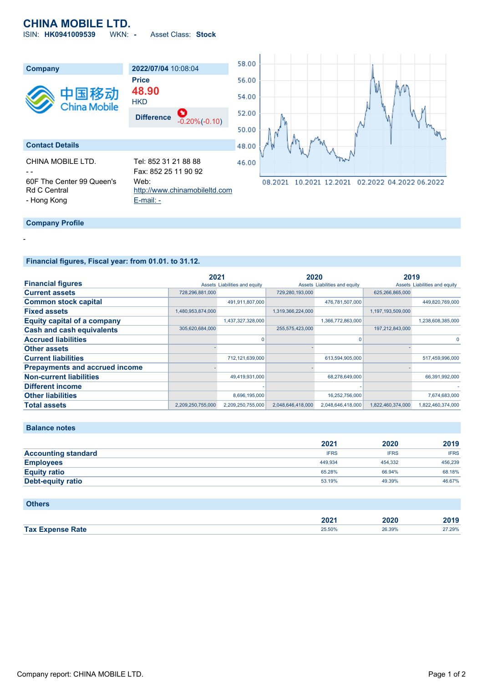# **CHINA MOBILE LTD.**

ISIN: **HK0941009539** WKN: **-** Asset Class: **Stock**



## **Financial figures, Fiscal year: from 01.01. to 31.12.**

|                                       | 2021              |                               | 2020              |                               | 2019              |                               |
|---------------------------------------|-------------------|-------------------------------|-------------------|-------------------------------|-------------------|-------------------------------|
| <b>Financial figures</b>              |                   | Assets Liabilities and equity |                   | Assets Liabilities and equity |                   | Assets Liabilities and equity |
| <b>Current assets</b>                 | 728,296,881,000   |                               | 729,280,193,000   |                               | 625,266,865,000   |                               |
| <b>Common stock capital</b>           |                   | 491,911,807,000               |                   | 476,781,507,000               |                   | 449,820,769,000               |
| <b>Fixed assets</b>                   | 1,480,953,874,000 |                               | 1,319,366,224,000 |                               | 1,197,193,509,000 |                               |
| <b>Equity capital of a company</b>    |                   | 1,437,327,328,000             |                   | 1,366,772,863,000             |                   | 1,238,608,385,000             |
| <b>Cash and cash equivalents</b>      | 305,620,684,000   |                               | 255,575,423,000   |                               | 197,212,843,000   |                               |
| <b>Accrued liabilities</b>            |                   | $\Omega$                      |                   |                               |                   |                               |
| <b>Other assets</b>                   |                   |                               |                   |                               |                   |                               |
| <b>Current liabilities</b>            |                   | 712,121,639,000               |                   | 613,594,905,000               |                   | 517,459,996,000               |
| <b>Prepayments and accrued income</b> |                   |                               |                   |                               |                   |                               |
| <b>Non-current liabilities</b>        |                   | 49,419,931,000                |                   | 68,278,649,000                |                   | 66,391,992,000                |
| <b>Different income</b>               |                   |                               |                   |                               |                   |                               |
| <b>Other liabilities</b>              |                   | 8,696,195,000                 |                   | 16,252,756,000                |                   | 7,674,683,000                 |
| <b>Total assets</b>                   | 2,209,250,755,000 | 2,209,250,755,000             | 2,048,646,418,000 | 2,048,646,418,000             | 1,822,460,374,000 | 1,822,460,374,000             |

#### **Balance notes**

-

|                            | 2021        | 2020        | 2019        |
|----------------------------|-------------|-------------|-------------|
| <b>Accounting standard</b> | <b>IFRS</b> | <b>IFRS</b> | <b>IFRS</b> |
| <b>Employees</b>           | 449.934     | 454.332     | 456.239     |
| <b>Equity ratio</b>        | 65.28%      | 66.94%      | 68.18%      |
| Debt-equity ratio          | 53.19%      | 49.39%      | 46.67%      |

### **Others**

|                                 | ירחר<br>ZUZ<br>______ | 2020<br>____ | 2040<br>20 I J |
|---------------------------------|-----------------------|--------------|----------------|
| <b>Expense Rate</b><br>Tax $Ex$ | 25.50%                | 26.39%       | 27.29%         |